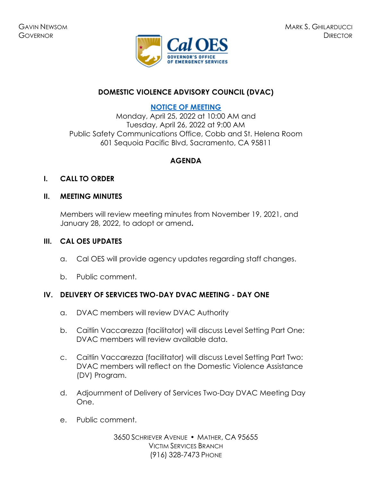

# **DOMESTIC VIOLENCE ADVISORY COUNCIL (DVAC)**

# **[NOTICE OF MEETING](https://www.caloes.ca.gov/cal-oes-divisions/grants-management/victim-services/meeting-public-notices)**

Monday, April 25, 2022 at 10:00 AM and Tuesday, April 26, 2022 at 9:00 AM Public Safety Communications Office, Cobb and St. Helena Room 601 Sequoia Pacific Blvd, Sacramento, CA 95811

### **AGENDA**

### **I. CALL TO ORDER**

### **II. MEETING MINUTES**

Members will review meeting minutes from November 19, 2021, and January 28, 2022, to adopt or amend**.** 

#### **III. CAL OES UPDATES**

- a. Cal OES will provide agency updates regarding staff changes.
- b. Public comment.

### **IV. DELIVERY OF SERVICES TWO-DAY DVAC MEETING - DAY ONE**

- a. DVAC members will review DVAC Authority
- b. Caitlin Vaccarezza (facilitator) will discuss Level Setting Part One: DVAC members will review available data.
- c. Caitlin Vaccarezza (facilitator) will discuss Level Setting Part Two: DVAC members will reflect on the Domestic Violence Assistance (DV) Program.
- d. Adjournment of Delivery of Services Two-Day DVAC Meeting Day One.
- e. Public comment.

3650 SCHRIEVER AVENUE MATHER, CA 95655 VICTIM SERVICES BRANCH (916) 328-7473 PHONE